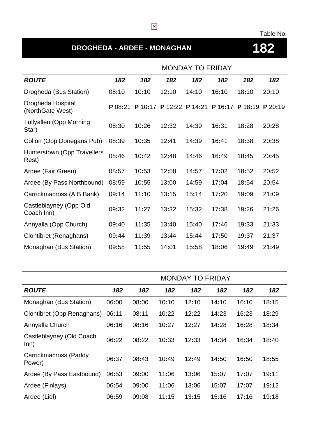### Table No.

# **DROGHEDA - ARDEE - MONAGHAN 182**

|                                         | <b>MONDAY TO FRIDAY</b> |         |       |                 |         |         |           |
|-----------------------------------------|-------------------------|---------|-------|-----------------|---------|---------|-----------|
| <b>ROUTE</b>                            | 182                     | 182     | 182   | 182             | 182     | 182     | 182       |
| Drogheda (Bus Station)                  | 08:10                   | 10:10   | 12:10 | 14:10           | 16:10   | 18:10   | 20:10     |
| Drogheda Hospital<br>(NorthGate West)   | P 08:21                 | P 10:17 |       | P 12:22 P 14:21 | P 16:17 | P 18:19 | $P$ 20:19 |
| <b>Tullyallen (Opp Morning</b><br>Star) | 08:30                   | 10:26   | 12:32 | 14:30           | 16:31   | 18:28   | 20:28     |
| Collon (Opp Donegans Pub)               | 08:39                   | 10:35   | 12:41 | 14:39           | 16:41   | 18:38   | 20:38     |
| Hunterstown (Opp Travellers<br>Rest)    | 08:46                   | 10:42   | 12:48 | 14:46           | 16:49   | 18:45   | 20:45     |
| Ardee (Fair Green)                      | 08:57                   | 10:53   | 12:58 | 14:57           | 17:02   | 18:52   | 20:52     |
| Ardee (By Pass Northbound)              | 08:59                   | 10:55   | 13:00 | 14:59           | 17:04   | 18:54   | 20:54     |
| Carrickmacross (AIB Bank)               | 09:14                   | 11:10   | 13:15 | 15:14           | 17:20   | 19:09   | 21:09     |
| Castleblayney (Opp Old<br>Coach Inn)    | 09:32                   | 11:27   | 13:32 | 15:32           | 17:38   | 19:26   | 21:26     |
| Annyalla (Opp Church)                   | 09:40                   | 11:35   | 13:40 | 15:40           | 17:46   | 19:33   | 21:33     |
| <b>Clontibret (Renaghans)</b>           | 09:44                   | 11:39   | 13:44 | 15:44           | 17:50   | 19:37   | 21:37     |
| Monaghan (Bus Station)                  | 09:58                   | 11:55   | 14:01 | 15:58           | 18:06   | 19:49   | 21:49     |

|                                  | <b>MONDAY TO FRIDAY</b> |       |       |       |       |       |       |  |
|----------------------------------|-------------------------|-------|-------|-------|-------|-------|-------|--|
| <b>ROUTE</b>                     | 182                     | 182   | 182   | 182   | 182   | 182   | 182   |  |
| Monaghan (Bus Station)           | 06:00                   | 08:00 | 10:10 | 12:10 | 14:10 | 16:10 | 18:15 |  |
| Clontibret (Opp Renaghans)       | 06:11                   | 08:11 | 10:22 | 12:22 | 14:23 | 16:23 | 18:29 |  |
| Annyalla Church                  | 06:16                   | 08:16 | 10:27 | 12:27 | 14:28 | 16:28 | 18:34 |  |
| Castleblayney (Old Coach<br>Inn) | 06:22                   | 08:22 | 10:33 | 12:33 | 14:34 | 16:34 | 18:40 |  |
| Carrickmacross (Paddy<br>Power)  | 06:37                   | 08:43 | 10:49 | 12:49 | 14:50 | 16:50 | 18:55 |  |
| Ardee (By Pass Eastbound)        | 06:53                   | 09:00 | 11:06 | 13:06 | 15:07 | 17:07 | 19:11 |  |
| Ardee (Finlays)                  | 06:54                   | 09:00 | 11:06 | 13:06 | 15:07 | 17:07 | 19:12 |  |
| Ardee (Lidl)                     | 06:59                   | 09:08 | 11:15 | 13:15 | 15:16 | 17:16 | 19:18 |  |